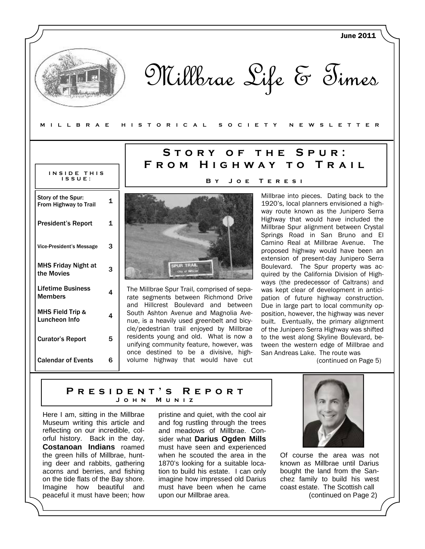Millbrae Life & Times

#### **MILLBRAE HISTORICAL SOCIETY NEWSLETTER**

| INSIDE THIS<br><b>ISSUE:</b>                       |   |
|----------------------------------------------------|---|
| Story of the Spur:<br><b>From Highway to Trail</b> | 1 |
| <b>President's Report</b>                          | 1 |
| <b>Vice-President's Message</b>                    | 3 |
| <b>MHS Friday Night at</b><br>the Movies           | 3 |
| Lifetime Business<br><b>Members</b>                | 4 |
| <b>MHS Field Trip &amp;</b><br>Luncheon Info       | 4 |
| <b>Curator's Report</b>                            | 5 |
| <b>Calendar of Events</b>                          | 6 |

## **Story of the Spur: From Highway to Trail**

**By Joe Teresi** 



The Millbrae Spur Trail, comprised of separate segments between Richmond Drive and Hillcrest Boulevard and between South Ashton Avenue and Magnolia Avenue, is a heavily used greenbelt and bicycle/pedestrian trail enjoyed by Millbrae residents young and old. What is now a unifying community feature, however, was once destined to be a divisive, highvolume highway that would have cut

Millbrae into pieces. Dating back to the 1920's, local planners envisioned a highway route known as the Junipero Serra Highway that would have included the Millbrae Spur alignment between Crystal Springs Road in San Bruno and El Camino Real at Millbrae Avenue. The proposed highway would have been an extension of present-day Junipero Serra Boulevard. The Spur property was acquired by the California Division of Highways (the predecessor of Caltrans) and was kept clear of development in anticipation of future highway construction. Due in large part to local community opposition, however, the highway was never built. Eventually, the primary alignment of the Junipero Serra Highway was shifted to the west along Skyline Boulevard, between the western edge of Millbrae and San Andreas Lake. The route was

(continued on Page 5)

June 2011

### **President's Report John Muniz**

Here I am, sitting in the Millbrae Museum writing this article and reflecting on our incredible, colorful history. Back in the day, **Costanoan Indians** roamed the green hills of Millbrae, hunting deer and rabbits, gathering acorns and berries, and fishing on the tide flats of the Bay shore. Imagine how beautiful and peaceful it must have been; how

pristine and quiet, with the cool air and fog rustling through the trees and meadows of Millbrae. Consider what **Darius Ogden Mills**  must have seen and experienced when he scouted the area in the 1870's looking for a suitable location to build his estate. I can only imagine how impressed old Darius must have been when he came upon our Millbrae area.



Of course the area was not known as Millbrae until Darius bought the land from the Sanchez family to build his west coast estate. The Scottish call (continued on Page 2)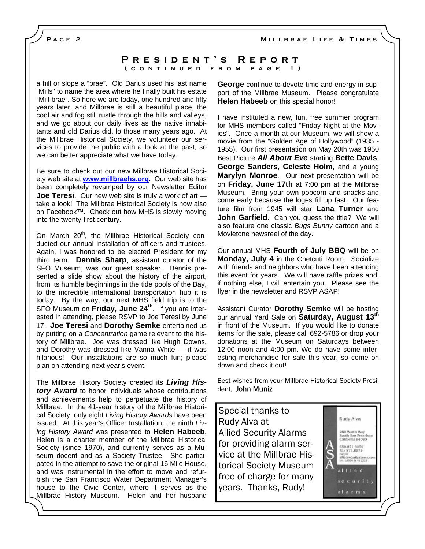**Millbrae Life & Times** 

**Page 2** 

### **President's Report (continued from page 1)**

a hill or slope a "brae". Old Darius used his last name "Mills" to name the area where he finally built his estate "Mill-brae". So here we are today, one hundred and fifty years later, and Millbrae is still a beautiful place, the cool air and fog still rustle through the hills and valleys, and we go about our daily lives as the native inhabitants and old Darius did, lo those many years ago. At the Millbrae Historical Society, we volunteer our services to provide the public with a look at the past, so we can better appreciate what we have today.

Be sure to check out our new Millbrae Historical Society web site at **www.millbraehs.org**. Our web site has been completely revamped by our Newsletter Editor **Joe Teresi**. Our new web site is truly a work of art take a look! The Millbrae Historical Society is now also on Facebook™. Check out how MHS is slowly moving into the twenty-first century.

On March 20<sup>th</sup>, the Millbrae Historical Society conducted our annual installation of officers and trustees. Again, I was honored to be elected President for my third term. **Dennis Sharp**, assistant curator of the SFO Museum, was our guest speaker. Dennis presented a slide show about the history of the airport, from its humble beginnings in the tide pools of the Bay, to the incredible international transportation hub it is today. By the way, our next MHS field trip is to the SFO Museum on **Friday, June 24th**. If you are interested in attending, please RSVP to Joe Teresi by June 17. **Joe Teresi** and **Dorothy Semke** entertained us by putting on a *Concentration* game relevant to the history of Millbrae. Joe was dressed like Hugh Downs, and Dorothy was dressed like Vanna White — it was hilarious! Our installations are so much fun; please plan on attending next year's event.

The Millbrae History Society created its *Living History Award* to honor individuals whose contributions and achievements help to perpetuate the history of Millbrae. In the 41-year history of the Millbrae Historical Society, only eight *Living History Awards* have been issued. At this year's Officer Installation, the ninth *Living History Award* was presented to **Helen Habeeb**. Helen is a charter member of the Millbrae Historical Society (since 1970), and currently serves as a Museum docent and as a Society Trustee. She participated in the attempt to save the original 16 Mile House, and was instrumental in the effort to move and refurbish the San Francisco Water Department Manager's house to the Civic Center, where it serves as the Millbrae History Museum. Helen and her husband

**George** continue to devote time and energy in support of the Millbrae Museum. Please congratulate **Helen Habeeb** on this special honor!

I have instituted a new, fun, free summer program for MHS members called "Friday Night at the Movies". Once a month at our Museum, we will show a movie from the "Golden Age of Hollywood" (1935 - 1955). Our first presentation on May 20th was 1950 Best Picture *All About Eve* starting **Bette Davis**, **George Sanders**, **Celeste Holm**, and a young **Marylyn Monroe**. Our next presentation will be on **Friday, June 17th** at 7:00 pm at the Millbrae Museum. Bring your own popcorn and snacks and come early because the loges fill up fast. Our feature film from 1945 will star **Lana Turner** and **John Garfield**. Can you guess the title? We will also feature one classic *Bugs Bunny* cartoon and a Movietone newsreel of the day.

Our annual MHS **Fourth of July BBQ** will be on **Monday, July 4** in the Chetcuti Room. Socialize with friends and neighbors who have been attending this event for years. We will have raffle prizes and, if nothing else, I will entertain you. Please see the flyer in the newsletter and RSVP ASAP!

Assistant Curator **Dorothy Semke** will be hosting our annual Yard Sale on **Saturday, August 13th** in front of the Museum. If you would like to donate items for the sale, please call 692-5786 or drop your donations at the Museum on Saturdays between 12:00 noon and 4:00 pm. We do have some interesting merchandise for sale this year, so come on down and check it out!

Best wishes from your Millbrae Historical Society President, John Muniz

Special thanks to Rudy Alva at Allied Security Alarms for providing alarm service at the Millbrae Historical Society Museum free of charge for many years. Thanks, Rudy!



alarms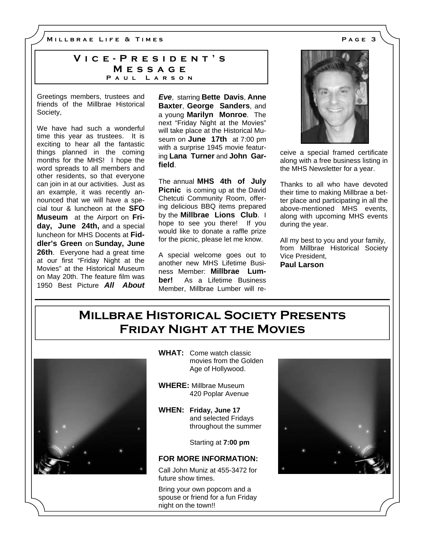**Millbrae Life & Times Page 3** 

### **Vice-President's Message Paul Larson**

Greetings members, trustees and friends of the Millbrae Historical Society,

We have had such a wonderful time this year as trustees. It is exciting to hear all the fantastic things planned in the coming months for the MHS! I hope the word spreads to all members and other residents, so that everyone can join in at our activities. Just as an example, it was recently announced that we will have a special tour & luncheon at the **SFO Museum** at the Airport on **Friday, June 24th,** and a special luncheon for MHS Docents at **Fiddler's Green** on **Sunday, June 26th**. Everyone had a great time at our first "Friday Night at the Movies" at the Historical Museum on May 20th. The feature film was 1950 Best Picture *All About* 

*Eve*, starring **Bette Davis**, **Anne Baxter**, **George Sanders**, and a young **Marilyn Monroe**. The next "Friday Night at the Movies" will take place at the Historical Museum on **June 17th** at 7:00 pm with a surprise 1945 movie featuring **Lana Turner** and **John Garfield**.

The annual **MHS 4th of July Picnic** is coming up at the David Chetcuti Community Room, offering delicious BBQ items prepared by the **Millbrae Lions Club**. I hope to see you there! If you would like to donate a raffle prize for the picnic, please let me know.

A special welcome goes out to another new MHS Lifetime Business Member: **Millbrae Lumber!** As a Lifetime Business Member, Millbrae Lumber will re-



ceive a special framed certificate along with a free business listing in the MHS Newsletter for a year.

Thanks to all who have devoted their time to making Millbrae a better place and participating in all the above-mentioned MHS events, along with upcoming MHS events during the year.

All my best to you and your family, from Millbrae Historical Society Vice President, **Paul Larson** 

## **Millbrae Historical Society Presents Friday Night at the Movies**



**WHAT:** Come watch classic movies from the Golden Age of Hollywood.

- **WHERE:** Millbrae Museum 420 Poplar Avenue
- **WHEN: Friday, June 17** and selected Fridays throughout the summer

Starting at **7:00 pm**

### **FOR MORE INFORMATION:**

Call John Muniz at 455-3472 for future show times.

Bring your own popcorn and a spouse or friend for a fun Friday night on the town!!

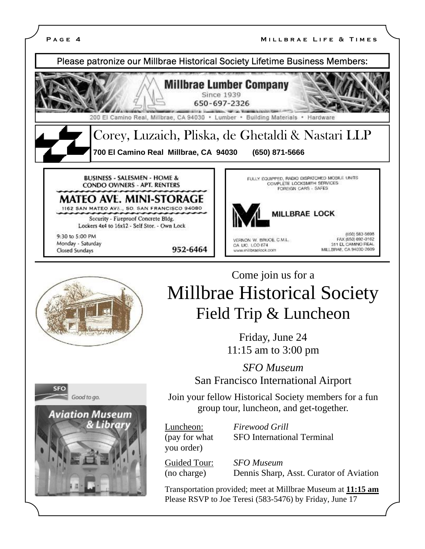







## Come join us for a Millbrae Historical Society Field Trip & Luncheon

Friday, June 24 11:15 am to 3:00 pm

*SFO Museum*  San Francisco International Airport

Join your fellow Historical Society members for a fun group tour, luncheon, and get-together.

you order)

Luncheon: *Firewood Grill*  (pay for what SFO International Terminal

Guided Tour: *SFO Museum*  (no charge) Dennis Sharp, Asst. Curator of Aviation

Transportation provided; meet at Millbrae Museum at **11:15 am** Please RSVP to Joe Teresi (583-5476) by Friday, June 17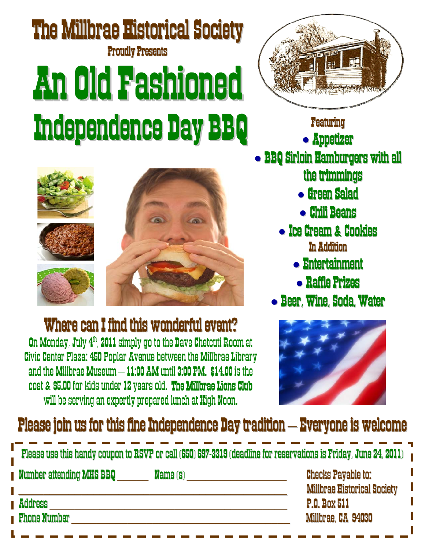# The Millbrae Historical Society **Proudly Presents** AnOldFashioned Independence Day BBQ Featuring



Where can I find this wonderful event?

On Monday, July 4<sup>th</sup>, 2011 simply go to the Dave Chetcuti Room at Civic Center Plaza: 450 Poplar Avenue between the Millbrae Library and the Millbrae Museum – 11:00 AM until 3:00 PM. \$14.00 is the cost & \$5.00 for kids under 12 years old. The Millbrae Lions Club will be serving an expertly prepared lunch at High Noon.



**• Appetizer** 

- **BBQ Sirloin Hamburgers with all** the trimmings
	- **Green Salad**
	- Chili Beans
	- Ice Cream & Cookies In Addition
		- Entertainment
		- **Raffle Prizes**
	- Beer, Wine, Soda, Water



## Please join us for this fine Independence Day tradition  $-$  Everyone is welcome

| Please use this handy coupon to RSVP or call (650) 697-3319 (deadline for reservations is Friday, June 24, 2011) |  |                                                                 |  |  |
|------------------------------------------------------------------------------------------------------------------|--|-----------------------------------------------------------------|--|--|
| Number attending MHS BBQ                                                                                         |  | <b>Checks Payable to:</b><br><b>Millbrae Historical Society</b> |  |  |
| Address                                                                                                          |  | <b>P.O. Box 511</b>                                             |  |  |
| <b>Phone Number</b>                                                                                              |  | Millbrae, CA 94030                                              |  |  |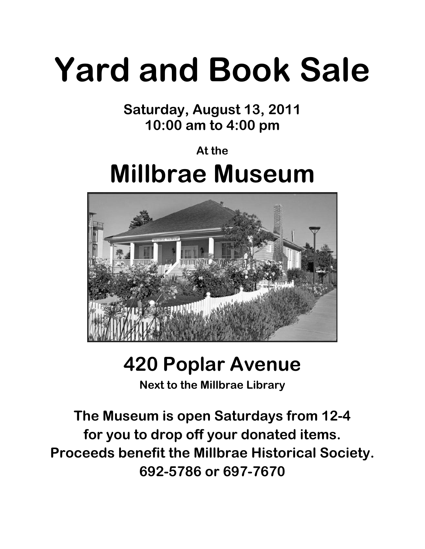# **Yard and Book Sale**

**Saturday, August 13, 2011 10:00 am to 4:00 pm** 

# **At the Millbrae Museum**



# **420 Poplar Avenue**

**Next to the Millbrae Library** 

**The Museum is open Saturdays from 12-4 for you to drop off your donated items. Proceeds benefit the Millbrae Historical Society. 692-5786 or 697-7670**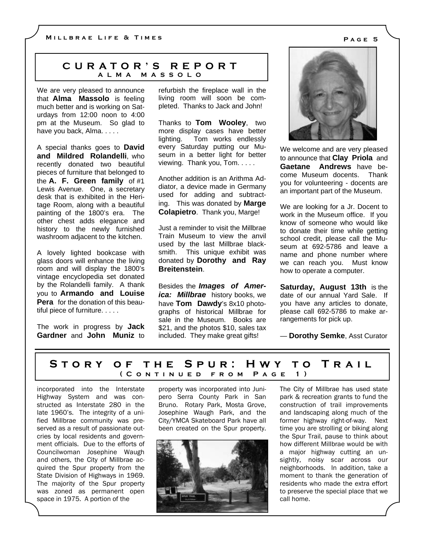### **CURATOR'S REPORT ALMA MASSOLO**

We are very pleased to announce that **Alma Massolo** is feeling much better and is working on Saturdays from 12:00 noon to 4:00 pm at the Museum. So glad to have you back, Alma. . . . .

A special thanks goes to **David and Mildred Rolandelli**, who recently donated two beautiful pieces of furniture that belonged to the **A. F. Green family** of #1 Lewis Avenue. One, a secretary desk that is exhibited in the Heritage Room, along with a beautiful painting of the 1800's era. The other chest adds elegance and history to the newly furnished washroom adjacent to the kitchen.

A lovely lighted bookcase with glass doors will enhance the living room and will display the 1800's vintage encyclopedia set donated by the Rolandelli family. A thank you to **Armando and Louise Pera** for the donation of this beautiful piece of furniture. . . . .

The work in progress by **Jack Gardner** and **John Muniz** to refurbish the fireplace wall in the living room will soon be completed. Thanks to Jack and John!

Thanks to **Tom Wooley**, two more display cases have better lighting. Tom works endlessly every Saturday putting our Museum in a better light for better viewing. Thank you, Tom. . . . .

Another addition is an Arithma Addiator, a device made in Germany used for adding and subtracting. This was donated by **Marge Colapietro**. Thank you, Marge!

Just a reminder to visit the Millbrae Train Museum to view the anvil used by the last Millbrae blacksmith. This unique exhibit was donated by **Dorothy and Ray Breitenstein**.

Besides the *Images of America: Millbrae* history books, we have **Tom Dawdy**'s 8x10 photographs of historical Millbrae for sale in the Museum. Books are \$21, and the photos \$10, sales tax included. They make great gifts!



We welcome and are very pleased to announce that **Clay Priola** and **Gaetane Andrews** have become Museum docents. Thank you for volunteering - docents are an important part of the Museum.

We are looking for a Jr. Docent to work in the Museum office. If you know of someone who would like to donate their time while getting school credit, please call the Museum at 692-5786 and leave a name and phone number where we can reach you. Must know how to operate a computer.

**Saturday, August 13th** is the date of our annual Yard Sale. If you have any articles to donate, please call 692-5786 to make arrangements for pick up.

— **Dorothy Semke**, Asst Curator

### **Story of the Spur: Hwy to Trail (Continued from Page 1)**

incorporated into the Interstate Highway System and was constructed as Interstate 280 in the late 1960's. The integrity of a unified Millbrae community was preserved as a result of passionate outcries by local residents and government officials. Due to the efforts of Councilwoman Josephine Waugh and others, the City of Millbrae acquired the Spur property from the State Division of Highways in 1969. The majority of the Spur property was zoned as permanent open space in 1975. A portion of the

property was incorporated into Junipero Serra County Park in San Bruno. Rotary Park, Mosta Grove, Josephine Waugh Park, and the City/YMCA Skateboard Park have all been created on the Spur property.



The City of Millbrae has used state park & recreation grants to fund the construction of trail improvements and landscaping along much of the former highway right-of-way. Next time you are strolling or biking along the Spur Trail, pause to think about how different Millbrae would be with a major highway cutting an unsightly, noisy scar across our neighborhoods. In addition, take a moment to thank the generation of residents who made the extra effort to preserve the special place that we call home.